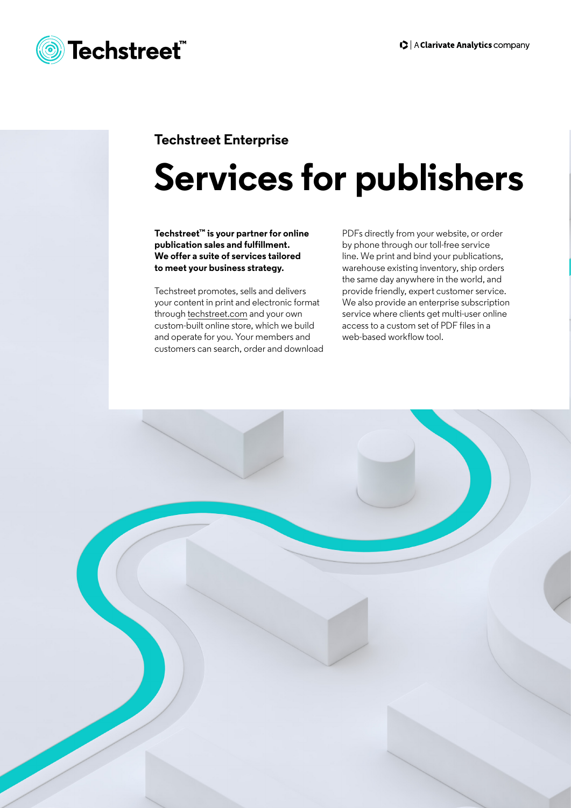

#### **Techstreet Enterprise**

# **Services for publishers**

**Techstreet™ is your partner for online publication sales and fulfillment. We offer a suite of services tailored to meet your business strategy.**

Techstreet promotes, sells and delivers your content in print and electronic format through [techstreet.com](https://www.techstreet.com/pages/home?) and your own custom-built online store, which we build and operate for you. Your members and customers can search, order and download PDFs directly from your website, or order by phone through our toll-free service line. We print and bind your publications, warehouse existing inventory, ship orders the same day anywhere in the world, and provide friendly, expert customer service. We also provide an enterprise subscription service where clients get multi-user online access to a custom set of PDF files in a web-based workflow tool.

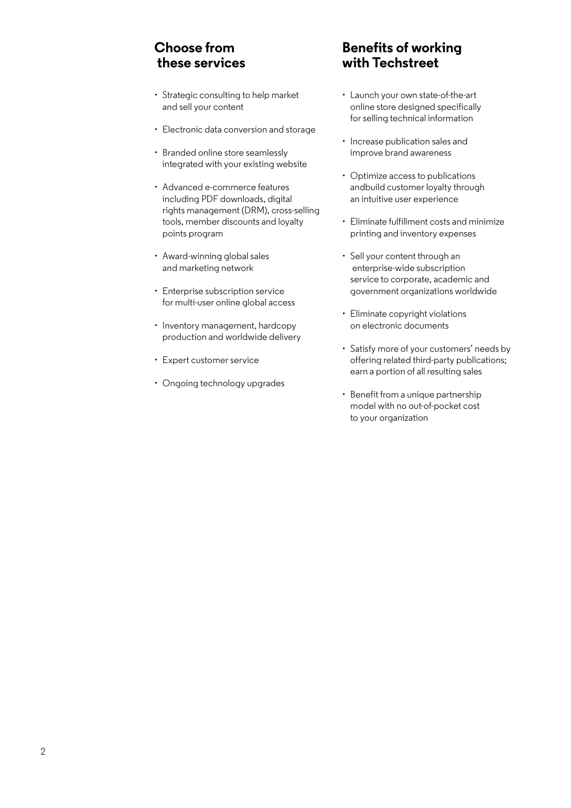## **Choose from these services**

- Strategic consulting to help market and sell your content
- Electronic data conversion and storage
- Branded online store seamlessly integrated with your existing website
- Advanced e-commerce features including PDF downloads, digital rights management (DRM), cross-selling tools, member discounts and loyalty points program
- Award-winning global sales and marketing network
- Enterprise subscription service for multi-user online global access
- Inventory management, hardcopy production and worldwide delivery
- Expert customer service
- Ongoing technology upgrades

## **Benefits of working with Techstreet**

- Launch your own state-of-the-art online store designed specifically for selling technical information
- Increase publication sales and improve brand awareness
- Optimize access to publications andbuild customer loyalty through an intuitive user experience
- Eliminate fulfillment costs and minimize printing and inventory expenses
- Sell your content through an enterprise-wide subscription service to corporate, academic and government organizations worldwide
- Eliminate copyright violations on electronic documents
- Satisfy more of your customers' needs by offering related third-party publications; earn a portion of all resulting sales
- Benefit from a unique partnership model with no out-of-pocket cost to your organization